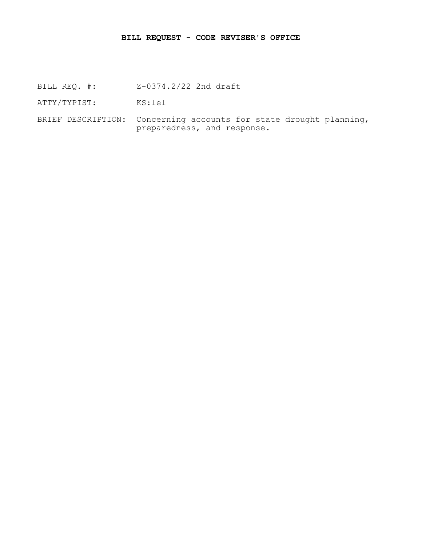## **BILL REQUEST - CODE REVISER'S OFFICE**

- BILL REQ. #: Z-0374.2/22 2nd draft
- ATTY/TYPIST: KS:lel
- BRIEF DESCRIPTION: Concerning accounts for state drought planning, preparedness, and response.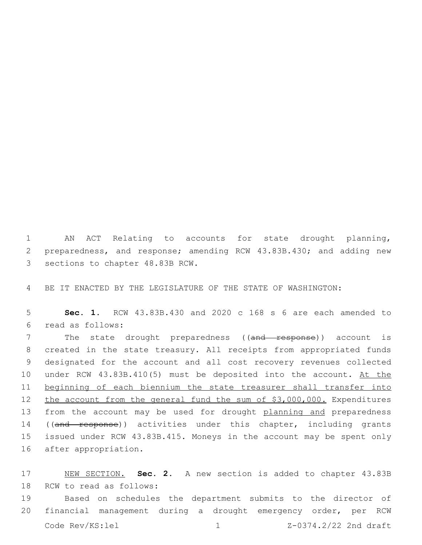1 AN ACT Relating to accounts for state drought planning, 2 preparedness, and response; amending RCW 43.83B.430; and adding new 3 sections to chapter 48.83B RCW.

4 BE IT ENACTED BY THE LEGISLATURE OF THE STATE OF WASHINGTON:

5 **Sec. 1.** RCW 43.83B.430 and 2020 c 168 s 6 are each amended to read as follows:6

7 The state drought preparedness ((and response)) account is 8 created in the state treasury. All receipts from appropriated funds 9 designated for the account and all cost recovery revenues collected 10 under RCW 43.83B.410(5) must be deposited into the account. At the 11 beginning of each biennium the state treasurer shall transfer into 12 the account from the general fund the sum of \$3,000,000. Expenditures 13 from the account may be used for drought planning and preparedness 14 ((and response)) activities under this chapter, including grants 15 issued under RCW 43.83B.415. Moneys in the account may be spent only 16 after appropriation.

17 NEW SECTION. **Sec. 2.** A new section is added to chapter 43.83B 18 RCW to read as follows:

19 Based on schedules the department submits to the director of 20 financial management during a drought emergency order, per RCW Code  $\text{Rev}/\text{KS:}$  lel  $\frac{1}{2}$  1  $\frac{Z-0374.2}{22}$  2nd draft